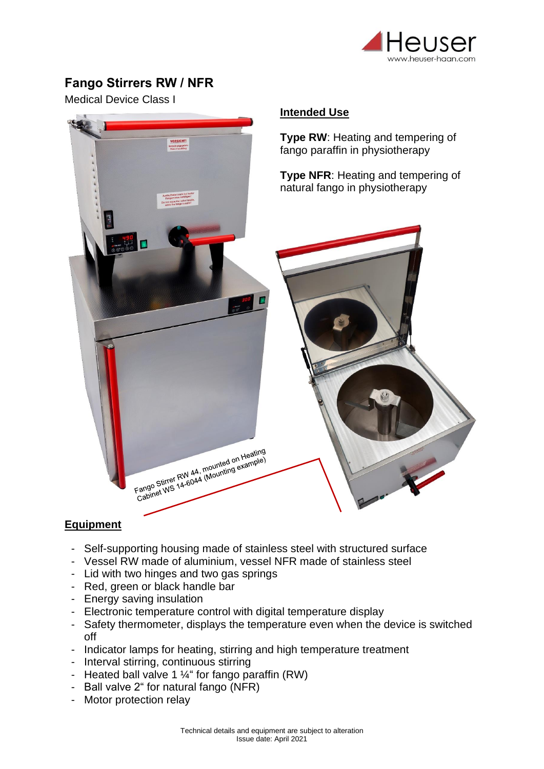

## **Fango Stirrers RW / NFR**

Medical Device Class I



## **Equipment**

- Self-supporting housing made of stainless steel with structured surface
- Vessel RW made of aluminium, vessel NFR made of stainless steel
- Lid with two hinges and two gas springs
- Red, green or black handle bar
- Energy saving insulation
- Electronic temperature control with digital temperature display
- Safety thermometer, displays the temperature even when the device is switched off
- Indicator lamps for heating, stirring and high temperature treatment
- Interval stirring, continuous stirring
- Heated ball valve 1  $\frac{1}{4}$ " for fango paraffin (RW)
- Ball valve 2" for natural fango (NFR)
- Motor protection relay